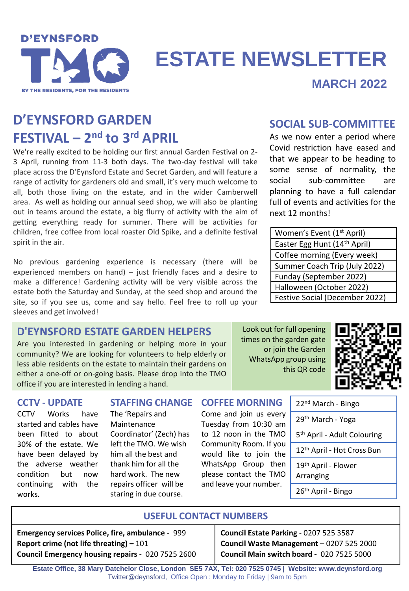

# **ESTATE NEWSLETTER**

## **MARCH 2022**

## **D'EYNSFORD GARDEN FESTIVAL – 2 nd to 3rd APRIL**

We're really excited to be holding our first annual Garden Festival on 2- 3 April, running from 11-3 both days. The two-day festival will take place across the D'Eynsford Estate and Secret Garden, and will feature a range of activity for gardeners old and small, it's very much welcome to all, both those living on the estate, and in the wider Camberwell area. As well as holding our annual seed shop, we will also be planting out in teams around the estate, a big flurry of activity with the aim of getting everything ready for summer. There will be activities for children, free coffee from local roaster Old Spike, and a definite festival spirit in the air.

No previous gardening experience is necessary (there will be experienced members on hand) – just friendly faces and a desire to make a difference! Gardening activity will be very visible across the estate both the Saturday and Sunday, at the seed shop and around the site, so if you see us, come and say hello. Feel free to roll up your sleeves and get involved!

**D'EYNSFORD ESTATE GARDEN HELPERS** Are you interested in gardening or helping more in your community? We are looking for volunteers to help elderly or less able residents on the estate to maintain their gardens on either a one-off or on-going basis. Please drop into the TMO

office if you are interested in lending a hand.

## **SOCIAL SUB-COMMITTEE**

As we now enter a period where Covid restriction have eased and that we appear to be heading to some sense of normality, the social sub-committee are planning to have a full calendar full of events and activities for the next 12 months!

| Women's Event (1 <sup>st</sup> April)    |
|------------------------------------------|
| Easter Egg Hunt (14 <sup>th</sup> April) |
| Coffee morning (Every week)              |
| Summer Coach Trip (July 2022)            |
| Funday (September 2022)                  |
| Halloween (October 2022)                 |
| Festive Social (December 2022)           |

### Look out for full opening times on the garden gate or join the Garden WhatsApp group using this QR code



## **CCTV - UPDATE**

CCTV Works have started and cables have been fitted to about 30% of the estate. We have been delayed by the adverse weather condition but now continuing with the works.

The 'Repairs and Maintenance Coordinator' (Zech) has left the TMO. We wish him all the best and thank him for all the hard work. The new repairs officer will be staring in due course.

#### **COFFEE MORNING STAFFING CHANGE**

Come and join us every Tuesday from 10:30 am to 12 noon in the TMO Community Room. If you would like to join the WhatsApp Group then please contact the TMO and leave your number.

| 22 <sup>nd</sup> March - Bingo               |
|----------------------------------------------|
| 29 <sup>th</sup> March - Yoga                |
| 5 <sup>th</sup> April - Adult Colouring      |
| 12 <sup>th</sup> April - Hot Cross Bun       |
| 19 <sup>th</sup> April - Flower<br>Arranging |
| 26 <sup>th</sup> April - Bingo               |

## **USEFUL CONTACT NUMBERS**

**Emergency services Police, fire, ambulance** - 999 **Report crime (not life threating) –** 101 **Council Emergency housing repairs** - 020 7525 2600 **Council Estate Parking** - 0207 525 3587 **Council Waste Management** – 0207 525 2000 **Council Main switch board -** 020 7525 5000

**Estate Office, 38 Mary Datchelor Close, London SE5 7AX, Tel: 020 7525 0745 | Website: www.deynsford.org** Twitter@deynsford, Office Open : Monday to Friday | 9am to 5pm